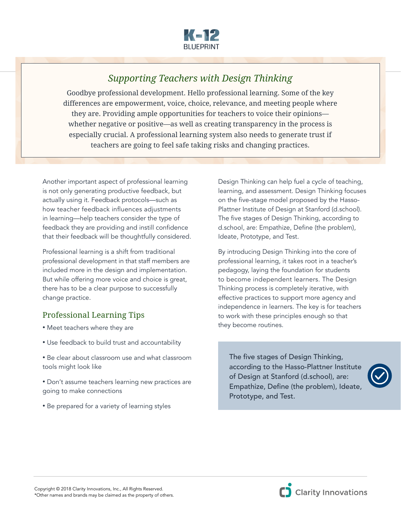

## *Supporting Teachers with Design Thinking*

Goodbye professional development. Hello professional learning. Some of the key differences are empowerment, voice, choice, relevance, and meeting people where they are. Providing ample opportunities for teachers to voice their opinions whether negative or positive—as well as creating transparency in the process is especially crucial. A professional learning system also needs to generate trust if teachers are going to feel safe taking risks and changing practices.

Another important aspect of professional learning is not only generating productive feedback, but actually using it. Feedback protocols—such as how teacher feedback influences adjustments in learning—help teachers consider the type of feedback they are providing and instill confidence that their feedback will be thoughtfully considered.

Professional learning is a shift from traditional professional development in that staff members are included more in the design and implementation. But while offering more voice and choice is great, there has to be a clear purpose to successfully change practice.

## Professional Learning Tips

- Meet teachers where they are
- Use feedback to build trust and accountability
- Be clear about classroom use and what classroom tools might look like
- Don't assume teachers learning new practices are going to make connections
- Be prepared for a variety of learning styles

Design Thinking can help fuel a cycle of teaching, learning, and assessment. Design Thinking focuses on the five-stage model proposed by the Hasso-Plattner Institute of Design at Stanford (d.school). The five stages of Design Thinking, according to d.school, are: Empathize, Define (the problem), Ideate, Prototype, and Test.

By introducing Design Thinking into the core of professional learning, it takes root in a teacher's pedagogy, laying the foundation for students to become independent learners. The Design Thinking process is completely iterative, with effective practices to support more agency and independence in learners. The key is for teachers to work with these principles enough so that they become routines.

The five stages of Design Thinking, according to the Hasso-Plattner Institute of Design at Stanford (d.school), are: Empathize, Define (the problem), Ideate, Prototype, and Test.